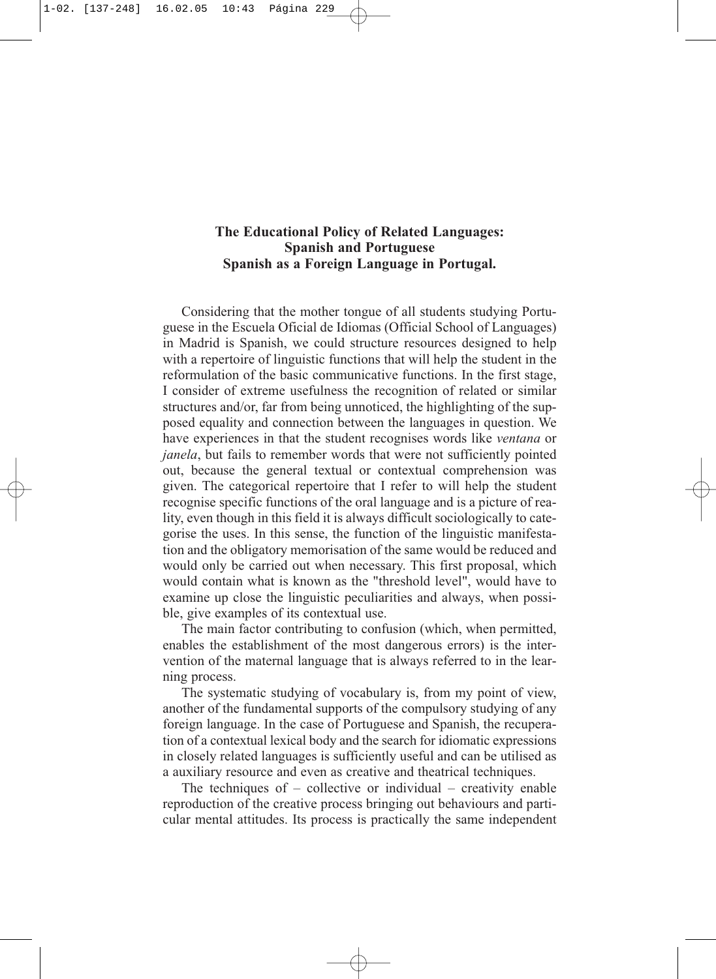## **The Educational Policy of Related Languages: Spanish and Portuguese Spanish as a Foreign Language in Portugal.**

Considering that the mother tongue of all students studying Portuguese in the Escuela Oficial de Idiomas (Official School of Languages) in Madrid is Spanish, we could structure resources designed to help with a repertoire of linguistic functions that will help the student in the reformulation of the basic communicative functions. In the first stage, I consider of extreme usefulness the recognition of related or similar structures and/or, far from being unnoticed, the highlighting of the supposed equality and connection between the languages in question. We have experiences in that the student recognises words like *ventana* or *janela*, but fails to remember words that were not sufficiently pointed out, because the general textual or contextual comprehension was given. The categorical repertoire that I refer to will help the student recognise specific functions of the oral language and is a picture of reality, even though in this field it is always difficult sociologically to categorise the uses. In this sense, the function of the linguistic manifestation and the obligatory memorisation of the same would be reduced and would only be carried out when necessary. This first proposal, which would contain what is known as the "threshold level", would have to examine up close the linguistic peculiarities and always, when possible, give examples of its contextual use.

The main factor contributing to confusion (which, when permitted, enables the establishment of the most dangerous errors) is the intervention of the maternal language that is always referred to in the learning process.

The systematic studying of vocabulary is, from my point of view, another of the fundamental supports of the compulsory studying of any foreign language. In the case of Portuguese and Spanish, the recuperation of a contextual lexical body and the search for idiomatic expressions in closely related languages is sufficiently useful and can be utilised as a auxiliary resource and even as creative and theatrical techniques.

The techniques of  $-$  collective or individual  $-$  creativity enable reproduction of the creative process bringing out behaviours and particular mental attitudes. Its process is practically the same independent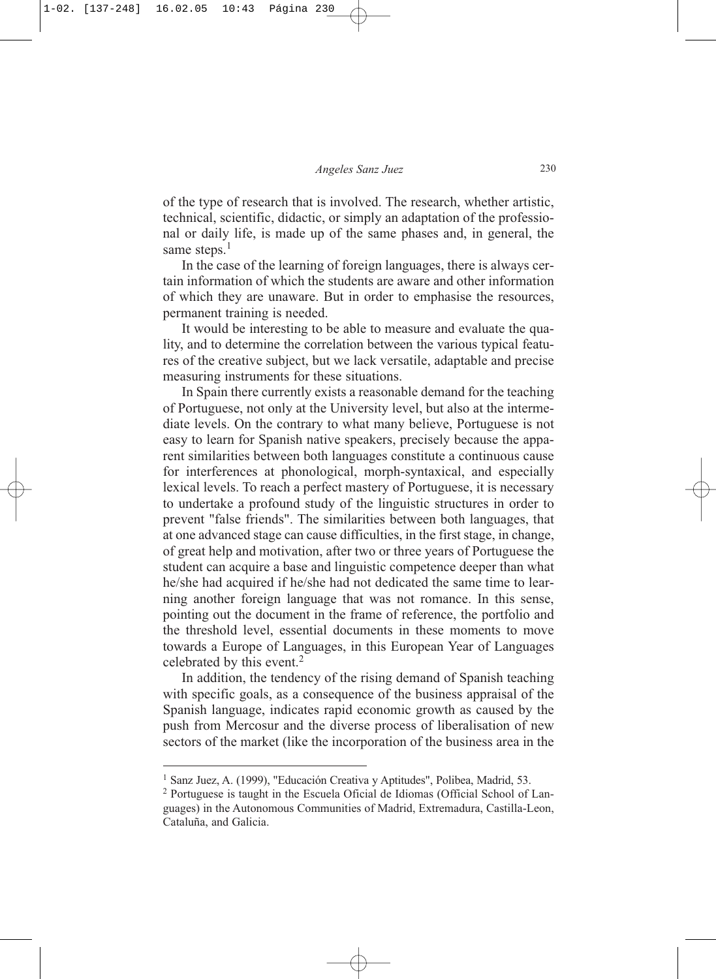of the type of research that is involved. The research, whether artistic, technical, scientific, didactic, or simply an adaptation of the professional or daily life, is made up of the same phases and, in general, the same steps. $<sup>1</sup>$ </sup>

In the case of the learning of foreign languages, there is always certain information of which the students are aware and other information of which they are unaware. But in order to emphasise the resources, permanent training is needed.

It would be interesting to be able to measure and evaluate the quality, and to determine the correlation between the various typical features of the creative subject, but we lack versatile, adaptable and precise measuring instruments for these situations.

In Spain there currently exists a reasonable demand for the teaching of Portuguese, not only at the University level, but also at the intermediate levels. On the contrary to what many believe, Portuguese is not easy to learn for Spanish native speakers, precisely because the apparent similarities between both languages constitute a continuous cause for interferences at phonological, morph-syntaxical, and especially lexical levels. To reach a perfect mastery of Portuguese, it is necessary to undertake a profound study of the linguistic structures in order to prevent "false friends". The similarities between both languages, that at one advanced stage can cause difficulties, in the first stage, in change, of great help and motivation, after two or three years of Portuguese the student can acquire a base and linguistic competence deeper than what he/she had acquired if he/she had not dedicated the same time to learning another foreign language that was not romance. In this sense, pointing out the document in the frame of reference, the portfolio and the threshold level, essential documents in these moments to move towards a Europe of Languages, in this European Year of Languages celebrated by this event.2

In addition, the tendency of the rising demand of Spanish teaching with specific goals, as a consequence of the business appraisal of the Spanish language, indicates rapid economic growth as caused by the push from Mercosur and the diverse process of liberalisation of new sectors of the market (like the incorporation of the business area in the

<sup>1</sup> Sanz Juez, A. (1999), "Educación Creativa y Aptitudes", Polibea, Madrid, 53.

<sup>2</sup> Portuguese is taught in the Escuela Oficial de Idiomas (Official School of Languages) in the Autonomous Communities of Madrid, Extremadura, Castilla-Leon, Cataluña, and Galicia.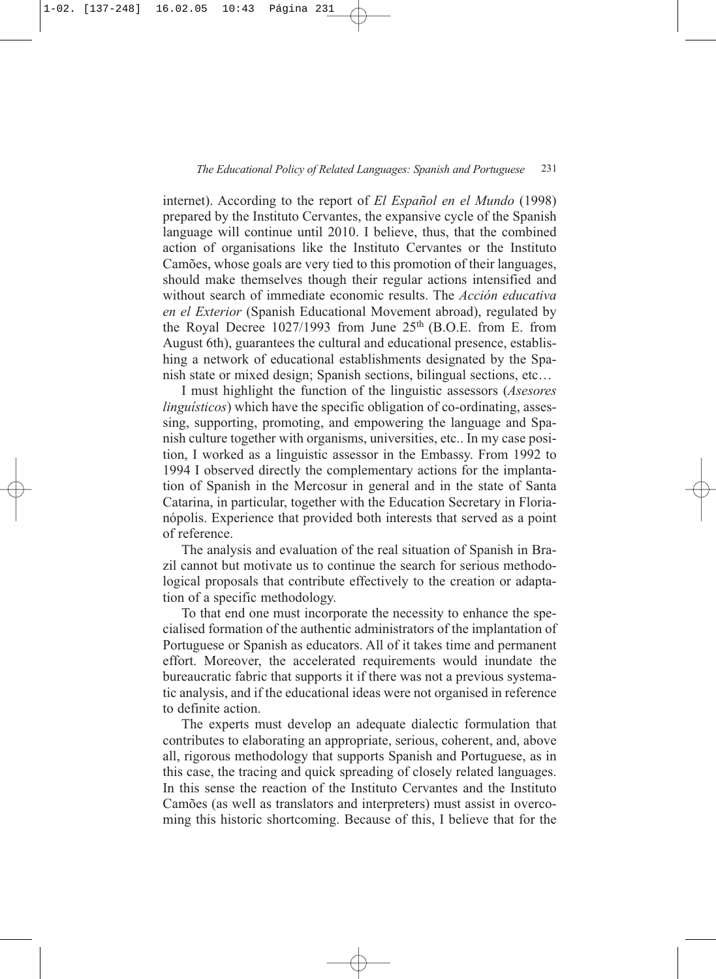internet). According to the report of *El Español en el Mundo* (1998) prepared by the Instituto Cervantes, the expansive cycle of the Spanish language will continue until 2010. I believe, thus, that the combined action of organisations like the Instituto Cervantes or the Instituto Camões, whose goals are very tied to this promotion of their languages, should make themselves though their regular actions intensified and without search of immediate economic results. The *Acción educativa en el Exterior* (Spanish Educational Movement abroad), regulated by the Royal Decree  $1027/1993$  from June  $25<sup>th</sup>$  (B.O.E. from E. from August 6th), guarantees the cultural and educational presence, establishing a network of educational establishments designated by the Spanish state or mixed design; Spanish sections, bilingual sections, etc…

I must highlight the function of the linguistic assessors (*Asesores linguísticos*) which have the specific obligation of co-ordinating, assessing, supporting, promoting, and empowering the language and Spanish culture together with organisms, universities, etc.. In my case position, I worked as a linguistic assessor in the Embassy. From 1992 to 1994 I observed directly the complementary actions for the implantation of Spanish in the Mercosur in general and in the state of Santa Catarina, in particular, together with the Education Secretary in Florianópolis. Experience that provided both interests that served as a point of reference.

The analysis and evaluation of the real situation of Spanish in Brazil cannot but motivate us to continue the search for serious methodological proposals that contribute effectively to the creation or adaptation of a specific methodology.

To that end one must incorporate the necessity to enhance the specialised formation of the authentic administrators of the implantation of Portuguese or Spanish as educators. All of it takes time and permanent effort. Moreover, the accelerated requirements would inundate the bureaucratic fabric that supports it if there was not a previous systematic analysis, and if the educational ideas were not organised in reference to definite action.

The experts must develop an adequate dialectic formulation that contributes to elaborating an appropriate, serious, coherent, and, above all, rigorous methodology that supports Spanish and Portuguese, as in this case, the tracing and quick spreading of closely related languages. In this sense the reaction of the Instituto Cervantes and the Instituto Camões (as well as translators and interpreters) must assist in overcoming this historic shortcoming. Because of this, I believe that for the